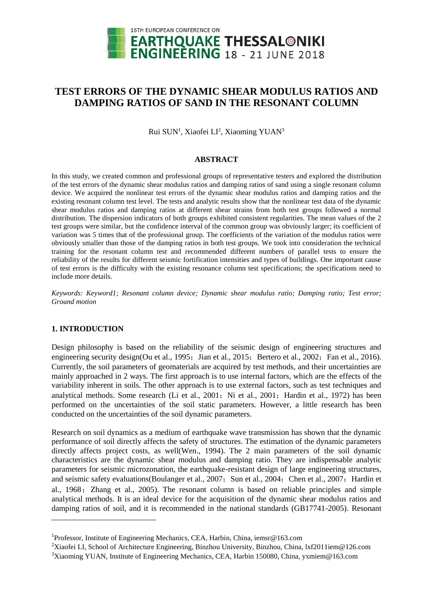

# **TEST ERRORS OF THE DYNAMIC SHEAR MODULUS RATIOS AND DAMPING RATIOS OF SAND IN THE RESONANT COLUMN**

Rui SUN<sup>1</sup>, Xiaofei LI<sup>2</sup>, Xiaoming YUAN<sup>3</sup>

#### **ABSTRACT**

In this study, we created common and professional groups of representative testers and explored the distribution of the test errors of the dynamic shear modulus ratios and damping ratios of sand using a single resonant column device. We acquired the nonlinear test errors of the dynamic shear modulus ratios and damping ratios and the existing resonant column test level. The tests and analytic results show that the nonlinear test data of the dynamic shear modulus ratios and damping ratios at different shear strains from both test groups followed a normal distribution. The dispersion indicators of both groups exhibited consistent regularities. The mean values of the 2 test groups were similar, but the confidence interval of the common group was obviously larger; its coefficient of variation was 5 times that of the professional group. The coefficients of the variation of the modulus ratios were obviously smaller than those of the damping ratios in both test groups. We took into consideration the technical training for the resonant column test and recommended different numbers of parallel tests to ensure the reliability of the results for different seismic fortification intensities and types of buildings. One important cause of test errors is the difficulty with the existing resonance column test specifications; the specifications need to include more details.

*Keywords: Keyword1; Resonant column device; Dynamic shear modulus ratio; Damping ratio; Test error; Ground motion*

## **1. INTRODUCTION**

l

Design philosophy is based on the reliability of the seismic design of engineering structures and engineering security design(Ou et al., 1995; Jian et al., 2015; Bertero et al., 2002; Fan et al., 2016). Currently, the soil parameters of geomaterials are acquired by test methods, and their uncertainties are mainly approached in 2 ways. The first approach is to use internal factors, which are the effects of the variability inherent in soils. The other approach is to use external factors, such as test techniques and analytical methods. Some research (Li et al., 2001; Ni et al., 2001; Hardin et al., 1972) has been performed on the uncertainties of the soil static parameters. However, a little research has been conducted on the uncertainties of the soil dynamic parameters.

Research on soil dynamics as a medium of earthquake wave transmission has shown that the dynamic performance of soil directly affects the safety of structures. The estimation of the dynamic parameters directly affects project costs, as well(Wen., 1994). The 2 main parameters of the soil dynamic characteristics are the dynamic shear modulus and damping ratio. They are indispensable analytic parameters for seismic microzonation, the earthquake-resistant design of large engineering structures, and seismic safety evaluations (Boulanger et al., 2007; Sun et al., 2004; Chen et al., 2007; Hardin et al., 1968;Zhang et al., 2005). The resonant column is based on reliable principles and simple analytical methods. It is an ideal device for the acquisition of the dynamic shear modulus ratios and damping ratios of soil, and it is recommended in the national standards (GB17741-2005). Resonant

<sup>&</sup>lt;sup>1</sup>Professor, Institute of Engineering Mechanics, CEA, Harbin, China, iemsr@163.com

<sup>2</sup>Xiaofei LI, School of Architecture Engineering, Binzhou University, Binzhou, China, lxf2011iem@126.com

<sup>3</sup>Xiaoming YUAN, Institute of Engineering Mechanics, CEA, Harbin 150080, China, yxmiem@163.com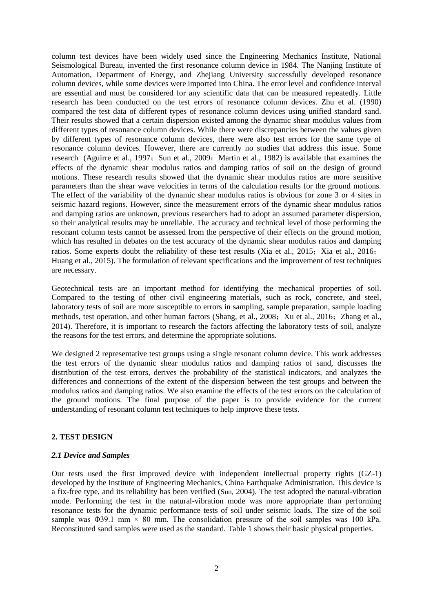column test devices have been widely used since the Engineering Mechanics Institute, National Seismological Bureau, invented the first resonance column device in 1984. The Nanjing Institute of Automation, Department of Energy, and Zhejiang University successfully developed resonance column devices, while some devices were imported into China. The error level and confidence interval are essential and must be considered for any scientific data that can be measured repeatedly. Little research has been conducted on the test errors of resonance column devices. Zhu et al. (1990) compared the test data of different types of resonance column devices using unified standard sand. Their results showed that a certain dispersion existed among the dynamic shear modulus values from different types of resonance column devices. While there were discrepancies between the values given by different types of resonance column devices, there were also test errors for the same type of resonance column devices. However, there are currently no studies that address this issue. Some research (Aguirre et al., 1997; Sun et al., 2009; Martin et al., 1982) is available that examines the effects of the dynamic shear modulus ratios and damping ratios of soil on the design of ground motions. These research results showed that the dynamic shear modulus ratios are more sensitive parameters than the shear wave velocities in terms of the calculation results for the ground motions. The effect of the variability of the dynamic shear modulus ratios is obvious for zone 3 or 4 sites in seismic hazard regions. However, since the measurement errors of the dynamic shear modulus ratios and damping ratios are unknown, previous researchers had to adopt an assumed parameter dispersion, so their analytical results may be unreliable. The accuracy and technical level of those performing the resonant column tests cannot be assessed from the perspective of their effects on the ground motion, which has resulted in debates on the test accuracy of the dynamic shear modulus ratios and damping ratios. Some experts doubt the reliability of these test results (Xia et al., 2015; Xia et al., 2016; Huang et al., 2015). The formulation of relevant specifications and the improvement of test techniques are necessary.

Geotechnical tests are an important method for identifying the mechanical properties of soil. Compared to the testing of other civil engineering materials, such as rock, concrete, and steel, laboratory tests of soil are more susceptible to errors in sampling, sample preparation, sample loading methods, test operation, and other human factors (Shang, et al., 2008; Xu et al., 2016; Zhang et al., 2014). Therefore, it is important to research the factors affecting the laboratory tests of soil, analyze the reasons for the test errors, and determine the appropriate solutions.

We designed 2 representative test groups using a single resonant column device. This work addresses the test errors of the dynamic shear modulus ratios and damping ratios of sand, discusses the distribution of the test errors, derives the probability of the statistical indicators, and analyzes the differences and connections of the extent of the dispersion between the test groups and between the modulus ratios and damping ratios. We also examine the effects of the test errors on the calculation of the ground motions. The final purpose of the paper is to provide evidence for the current understanding of resonant column test techniques to help improve these tests.

## **2. TEST DESIGN**

#### *2.1 Device and Samples*

Our tests used the first improved device with independent intellectual property rights (GZ-1) developed by the Institute of Engineering Mechanics, China Earthquake Administration. This device is a fix-free type, and its reliability has been verified (Sun, 2004). The test adopted the natural-vibration mode. Performing the test in the natural-vibration mode was more appropriate than performing resonance tests for the dynamic performance tests of soil under seismic loads. The size of the soil sample was  $\Phi$ 39.1 mm × 80 mm. The consolidation pressure of the soil samples was 100 kPa. Reconstituted sand samples were used as the standard. Table 1 shows their basic physical properties.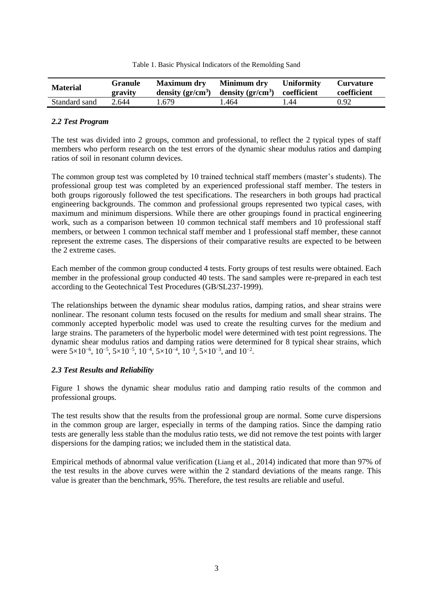|  |  | Table 1. Basic Physical Indicators of the Remolding Sand |  |
|--|--|----------------------------------------------------------|--|
|  |  |                                                          |  |

| <b>Material</b> | <b>Granule</b><br>gravity | <b>Maximum dry</b><br>density $gr/cm^3$ | Minimum dry<br>density $gr/cm^3$ coefficient | <b>Uniformity</b> | <b>Curvature</b><br>coefficient |  |
|-----------------|---------------------------|-----------------------------------------|----------------------------------------------|-------------------|---------------------------------|--|
| Standard sand   | 2.644                     | . 679. ،                                | .464                                         | .44               | 0.92                            |  |

# *2.2 Test Program*

The test was divided into 2 groups, common and professional, to reflect the 2 typical types of staff members who perform research on the test errors of the dynamic shear modulus ratios and damping ratios of soil in resonant column devices.

The common group test was completed by 10 trained technical staff members (master's students). The professional group test was completed by an experienced professional staff member. The testers in both groups rigorously followed the test specifications. The researchers in both groups had practical engineering backgrounds. The common and professional groups represented two typical cases, with maximum and minimum dispersions. While there are other groupings found in practical engineering work, such as a comparison between 10 common technical staff members and 10 professional staff members, or between 1 common technical staff member and 1 professional staff member, these cannot represent the extreme cases. The dispersions of their comparative results are expected to be between the 2 extreme cases.

Each member of the common group conducted 4 tests. Forty groups of test results were obtained. Each member in the professional group conducted 40 tests. The sand samples were re-prepared in each test according to the Geotechnical Test Procedures (GB/SL237-1999).

The relationships between the dynamic shear modulus ratios, damping ratios, and shear strains were nonlinear. The resonant column tests focused on the results for medium and small shear strains. The commonly accepted hyperbolic model was used to create the resulting curves for the medium and large strains. The parameters of the hyperbolic model were determined with test point regressions. The dynamic shear modulus ratios and damping ratios were determined for 8 typical shear strains, which were  $5 \times 10^{-6}$ ,  $10^{-5}$ ,  $5 \times 10^{-5}$ ,  $10^{-4}$ ,  $5 \times 10^{-4}$ ,  $10^{-3}$ ,  $5 \times 10^{-3}$ , and  $10^{-2}$ .

## *2.3 Test Results and Reliability*

Figure 1 shows the dynamic shear modulus ratio and damping ratio results of the common and professional groups.

The test results show that the results from the professional group are normal. Some curve dispersions in the common group are larger, especially in terms of the damping ratios. Since the damping ratio tests are generally less stable than the modulus ratio tests, we did not remove the test points with larger dispersions for the damping ratios; we included them in the statistical data.

Empirical methods of abnormal value verification (Liang et al., 2014) indicated that more than 97% of the test results in the above curves were within the 2 standard deviations of the means range. This value is greater than the benchmark, 95%. Therefore, the test results are reliable and useful.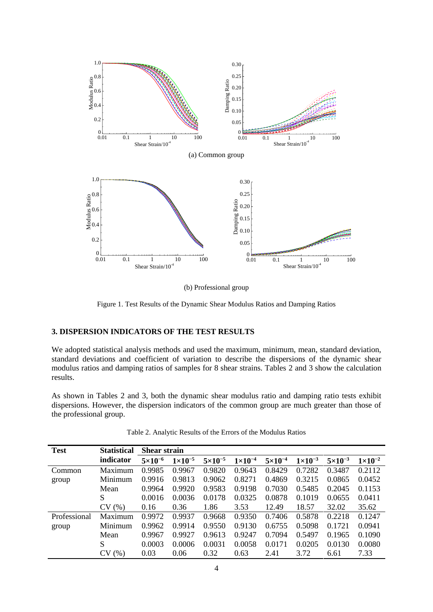

(b) Professional group

Figure 1. Test Results of the Dynamic Shear Modulus Ratios and Damping Ratios

# **3. DISPERSION INDICATORS OF THE TEST RESULTS**

We adopted statistical analysis methods and used the maximum, minimum, mean, standard deviation, standard deviations and coefficient of variation to describe the dispersions of the dynamic shear modulus ratios and damping ratios of samples for 8 shear strains. Tables 2 and 3 show the calculation results.

As shown in Tables 2 and 3, both the dynamic shear modulus ratio and damping ratio tests exhibit dispersions. However, the dispersion indicators of the common group are much greater than those of the professional group.

| <b>Test</b>  | <b>Statistical</b> | <b>Shear strain</b> |                    |                    |                    |                    |                    |                    |                    |
|--------------|--------------------|---------------------|--------------------|--------------------|--------------------|--------------------|--------------------|--------------------|--------------------|
|              | indicator          | $5\times10^{-6}$    | $1 \times 10^{-5}$ | $5 \times 10^{-5}$ | $1 \times 10^{-4}$ | $5 \times 10^{-4}$ | $1 \times 10^{-3}$ | $5 \times 10^{-3}$ | $1 \times 10^{-2}$ |
| Common       | Maximum            | 0.9985              | 0.9967             | 0.9820             | 0.9643             | 0.8429             | 0.7282             | 0.3487             | 0.2112             |
| group        | Minimum            | 0.9916              | 0.9813             | 0.9062             | 0.8271             | 0.4869             | 0.3215             | 0.0865             | 0.0452             |
|              | Mean               | 0.9964              | 0.9920             | 0.9583             | 0.9198             | 0.7030             | 0.5485             | 0.2045             | 0.1153             |
|              | S                  | 0.0016              | 0.0036             | 0.0178             | 0.0325             | 0.0878             | 0.1019             | 0.0655             | 0.0411             |
|              | CV(%)              | 0.16                | 0.36               | 1.86               | 3.53               | 12.49              | 18.57              | 32.02              | 35.62              |
| Professional | Maximum            | 0.9972              | 0.9937             | 0.9668             | 0.9350             | 0.7406             | 0.5878             | 0.2218             | 0.1247             |
| group        | Minimum            | 0.9962              | 0.9914             | 0.9550             | 0.9130             | 0.6755             | 0.5098             | 0.1721             | 0.0941             |
|              | Mean               | 0.9967              | 0.9927             | 0.9613             | 0.9247             | 0.7094             | 0.5497             | 0.1965             | 0.1090             |
|              | S                  | 0.0003              | 0.0006             | 0.0031             | 0.0058             | 0.0171             | 0.0205             | 0.0130             | 0.0080             |
|              | CV(%)              | 0.03                | 0.06               | 0.32               | 0.63               | 2.41               | 3.72               | 6.61               | 7.33               |

Table 2. Analytic Results of the Errors of the Modulus Ratios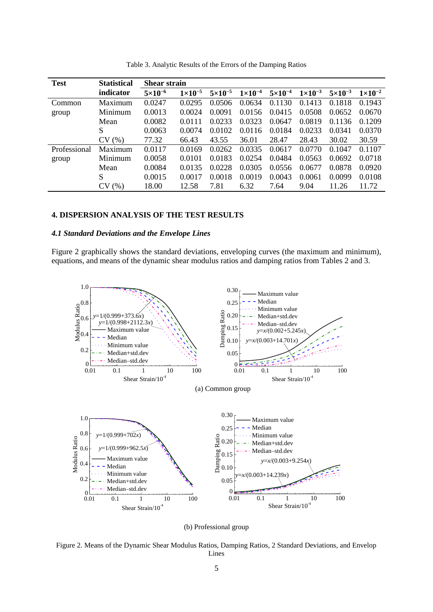| <b>Test</b>  | <b>Statistical</b> | <b>Shear strain</b> |                  |                  |                    |                    |                    |                    |                    |
|--------------|--------------------|---------------------|------------------|------------------|--------------------|--------------------|--------------------|--------------------|--------------------|
|              | indicator          | $5 \times 10^{-6}$  | $1\times10^{-5}$ | $5\times10^{-5}$ | $1 \times 10^{-4}$ | $5 \times 10^{-4}$ | $1 \times 10^{-3}$ | $5 \times 10^{-3}$ | $1 \times 10^{-2}$ |
| Common       | Maximum            | 0.0247              | 0.0295           | 0.0506           | 0.0634             | 0.1130             | 0.1413             | 0.1818             | 0.1943             |
| group        | Minimum            | 0.0013              | 0.0024           | 0.0091           | 0.0156             | 0.0415             | 0.0508             | 0.0652             | 0.0670             |
|              | Mean               | 0.0082              | 0.0111           | 0.0233           | 0.0323             | 0.0647             | 0.0819             | 0.1136             | 0.1209             |
|              | S                  | 0.0063              | 0.0074           | 0.0102           | 0.0116             | 0.0184             | 0.0233             | 0.0341             | 0.0370             |
|              | CV(%)              | 77.32               | 66.43            | 43.55            | 36.01              | 28.47              | 28.43              | 30.02              | 30.59              |
| Professional | Maximum            | 0.0117              | 0.0169           | 0.0262           | 0.0335             | 0.0617             | 0.0770             | 0.1047             | 0.1107             |
| group        | Minimum            | 0.0058              | 0.0101           | 0.0183           | 0.0254             | 0.0484             | 0.0563             | 0.0692             | 0.0718             |
|              | Mean               | 0.0084              | 0.0135           | 0.0228           | 0.0305             | 0.0556             | 0.0677             | 0.0878             | 0.0920             |
|              | S                  | 0.0015              | 0.0017           | 0.0018           | 0.0019             | 0.0043             | 0.0061             | 0.0099             | 0.0108             |
|              | CV(%)              | 18.00               | 12.58            | 7.81             | 6.32               | 7.64               | 9.04               | 11.26              | 11.72              |

Table 3. Analytic Results of the Errors of the Damping Ratios

#### **4. DISPERSION ANALYSIS OF THE TEST RESULTS**

#### *4.1 Standard Deviations and the Envelope Lines*

Figure 2 graphically shows the standard deviations, enveloping curves (the maximum and minimum), equations, and means of the dynamic shear modulus ratios and damping ratios from Tables 2 and 3.



(b) Professional group

Figure 2. Means of the Dynamic Shear Modulus Ratios, Damping Ratios, 2 Standard Deviations, and Envelop Lines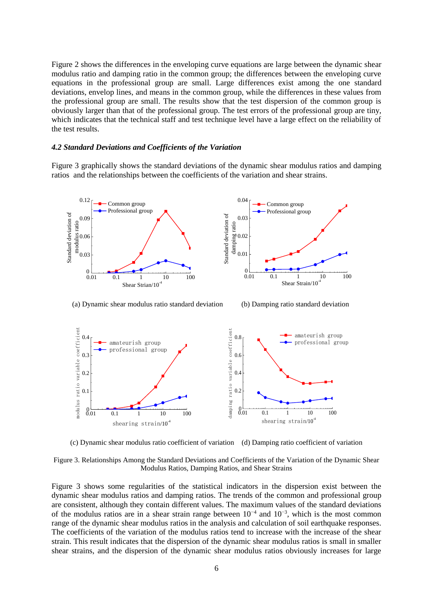Figure 2 shows the differences in the enveloping curve equations are large between the dynamic shear modulus ratio and damping ratio in the common group; the differences between the enveloping curve equations in the professional group are small. Large differences exist among the one standard deviations, envelop lines, and means in the common group, while the differences in these values from the professional group are small. The results show that the test dispersion of the common group is obviously larger than that of the professional group. The test errors of the professional group are tiny, which indicates that the technical staff and test technique level have a large effect on the reliability of the test results.

#### *4.2 Standard Deviations and Coefficients of the Variation*

Figure 3 graphically shows the standard deviations of the dynamic shear modulus ratios and damping ratios and the relationships between the coefficients of the variation and shear strains.



(a) Dynamic shear modulus ratio standard deviation (b) Damping ratio standard deviation



(c) Dynamic shear modulus ratio coefficient of variation (d) Damping ratio coefficient of variation

Figure 3. Relationships Among the Standard Deviations and Coefficients of the Variation of the Dynamic Shear Modulus Ratios, Damping Ratios, and Shear Strains

Figure 3 shows some regularities of the statistical indicators in the dispersion exist between the dynamic shear modulus ratios and damping ratios. The trends of the common and professional group are consistent, although they contain different values. The maximum values of the standard deviations of the modulus ratios are in a shear strain range between  $10^{-4}$  and  $10^{-3}$ , which is the most common range of the dynamic shear modulus ratios in the analysis and calculation of soil earthquake responses. The coefficients of the variation of the modulus ratios tend to increase with the increase of the shear strain. This result indicates that the dispersion of the dynamic shear modulus ratios is small in smaller shear strains, and the dispersion of the dynamic shear modulus ratios obviously increases for large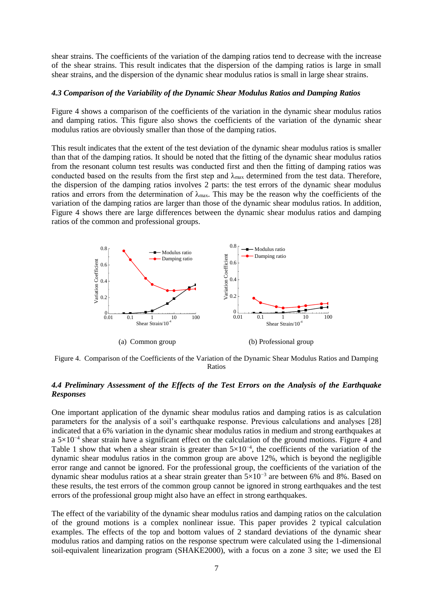shear strains. The coefficients of the variation of the damping ratios tend to decrease with the increase of the shear strains. This result indicates that the dispersion of the damping ratios is large in small shear strains, and the dispersion of the dynamic shear modulus ratios is small in large shear strains.

## *4.3 Comparison of the Variability of the Dynamic Shear Modulus Ratios and Damping Ratios*

Figure 4 shows a comparison of the coefficients of the variation in the dynamic shear modulus ratios and damping ratios. This figure also shows the coefficients of the variation of the dynamic shear modulus ratios are obviously smaller than those of the damping ratios.

This result indicates that the extent of the test deviation of the dynamic shear modulus ratios is smaller than that of the damping ratios. It should be noted that the fitting of the dynamic shear modulus ratios from the resonant column test results was conducted first and then the fitting of damping ratios was conducted based on the results from the first step and  $\lambda_{\text{max}}$  determined from the test data. Therefore, the dispersion of the damping ratios involves 2 parts: the test errors of the dynamic shear modulus ratios and errors from the determination of  $\lambda_{\text{max}}$ . This may be the reason why the coefficients of the variation of the damping ratios are larger than those of the dynamic shear modulus ratios. In addition, Figure 4 shows there are large differences between the dynamic shear modulus ratios and damping ratios of the common and professional groups.



Figure 4. Comparison of the Coefficients of the Variation of the Dynamic Shear Modulus Ratios and Damping Ratios

# *4.4 Preliminary Assessment of the Effects of the Test Errors on the Analysis of the Earthquake Responses*

One important application of the dynamic shear modulus ratios and damping ratios is as calculation parameters for the analysis of a soil's earthquake response. Previous calculations and analyses [28] indicated that a 6% variation in the dynamic shear modulus ratios in medium and strong earthquakes at a 5×10<sup>-4</sup> shear strain have a significant effect on the calculation of the ground motions. Figure 4 and Table 1 show that when a shear strain is greater than  $5 \times 10^{-4}$ , the coefficients of the variation of the dynamic shear modulus ratios in the common group are above 12%, which is beyond the negligible error range and cannot be ignored. For the professional group, the coefficients of the variation of the dynamic shear modulus ratios at a shear strain greater than 5×10−3 are between 6% and 8%. Based on these results, the test errors of the common group cannot be ignored in strong earthquakes and the test errors of the professional group might also have an effect in strong earthquakes.

The effect of the variability of the dynamic shear modulus ratios and damping ratios on the calculation of the ground motions is a complex nonlinear issue. This paper provides 2 typical calculation examples. The effects of the top and bottom values of 2 standard deviations of the dynamic shear modulus ratios and damping ratios on the response spectrum were calculated using the 1-dimensional soil-equivalent linearization program (SHAKE2000), with a focus on a zone 3 site; we used the El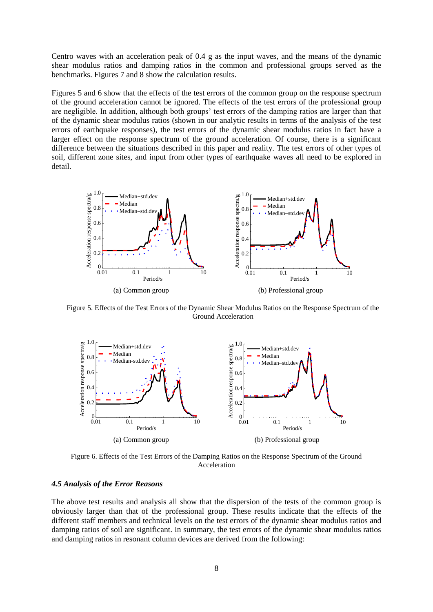Centro waves with an acceleration peak of 0.4 g as the input waves, and the means of the dynamic shear modulus ratios and damping ratios in the common and professional groups served as the benchmarks. Figures 7 and 8 show the calculation results.

Figures 5 and 6 show that the effects of the test errors of the common group on the response spectrum of the ground acceleration cannot be ignored. The effects of the test errors of the professional group are negligible. In addition, although both groups' test errors of the damping ratios are larger than that of the dynamic shear modulus ratios (shown in our analytic results in terms of the analysis of the test errors of earthquake responses), the test errors of the dynamic shear modulus ratios in fact have a larger effect on the response spectrum of the ground acceleration. Of course, there is a significant difference between the situations described in this paper and reality. The test errors of other types of soil, different zone sites, and input from other types of earthquake waves all need to be explored in detail.



Figure 5. Effects of the Test Errors of the Dynamic Shear Modulus Ratios on the Response Spectrum of the Ground Acceleration



Figure 6. Effects of the Test Errors of the Damping Ratios on the Response Spectrum of the Ground Acceleration

#### *4.5 Analysis of the Error Reasons*

The above test results and analysis all show that the dispersion of the tests of the common group is obviously larger than that of the professional group. These results indicate that the effects of the different staff members and technical levels on the test errors of the dynamic shear modulus ratios and damping ratios of soil are significant. In summary, the test errors of the dynamic shear modulus ratios and damping ratios in resonant column devices are derived from the following: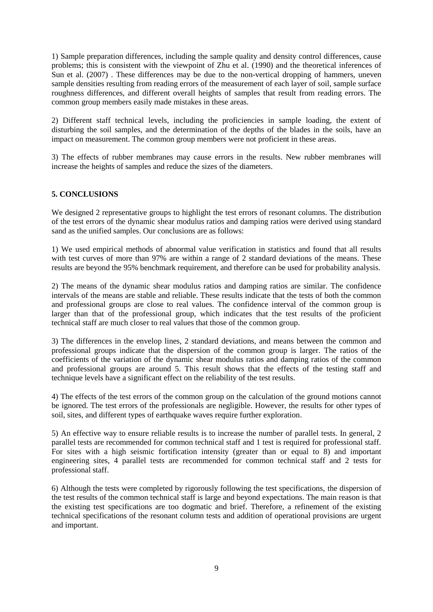1) Sample preparation differences, including the sample quality and density control differences, cause problems; this is consistent with the viewpoint of Zhu et al. (1990) and the theoretical inferences of Sun et al. (2007) . These differences may be due to the non-vertical dropping of hammers, uneven sample densities resulting from reading errors of the measurement of each layer of soil, sample surface roughness differences, and different overall heights of samples that result from reading errors. The common group members easily made mistakes in these areas.

2) Different staff technical levels, including the proficiencies in sample loading, the extent of disturbing the soil samples, and the determination of the depths of the blades in the soils, have an impact on measurement. The common group members were not proficient in these areas.

3) The effects of rubber membranes may cause errors in the results. New rubber membranes will increase the heights of samples and reduce the sizes of the diameters.

# **5. CONCLUSIONS**

We designed 2 representative groups to highlight the test errors of resonant columns. The distribution of the test errors of the dynamic shear modulus ratios and damping ratios were derived using standard sand as the unified samples. Our conclusions are as follows:

1) We used empirical methods of abnormal value verification in statistics and found that all results with test curves of more than 97% are within a range of 2 standard deviations of the means. These results are beyond the 95% benchmark requirement, and therefore can be used for probability analysis.

2) The means of the dynamic shear modulus ratios and damping ratios are similar. The confidence intervals of the means are stable and reliable. These results indicate that the tests of both the common and professional groups are close to real values. The confidence interval of the common group is larger than that of the professional group, which indicates that the test results of the proficient technical staff are much closer to real values that those of the common group.

3) The differences in the envelop lines, 2 standard deviations, and means between the common and professional groups indicate that the dispersion of the common group is larger. The ratios of the coefficients of the variation of the dynamic shear modulus ratios and damping ratios of the common and professional groups are around 5. This result shows that the effects of the testing staff and technique levels have a significant effect on the reliability of the test results.

4) The effects of the test errors of the common group on the calculation of the ground motions cannot be ignored. The test errors of the professionals are negligible. However, the results for other types of soil, sites, and different types of earthquake waves require further exploration.

5) An effective way to ensure reliable results is to increase the number of parallel tests. In general, 2 parallel tests are recommended for common technical staff and 1 test is required for professional staff. For sites with a high seismic fortification intensity (greater than or equal to 8) and important engineering sites, 4 parallel tests are recommended for common technical staff and 2 tests for professional staff.

6) Although the tests were completed by rigorously following the test specifications, the dispersion of the test results of the common technical staff is large and beyond expectations. The main reason is that the existing test specifications are too dogmatic and brief. Therefore, a refinement of the existing technical specifications of the resonant column tests and addition of operational provisions are urgent and important.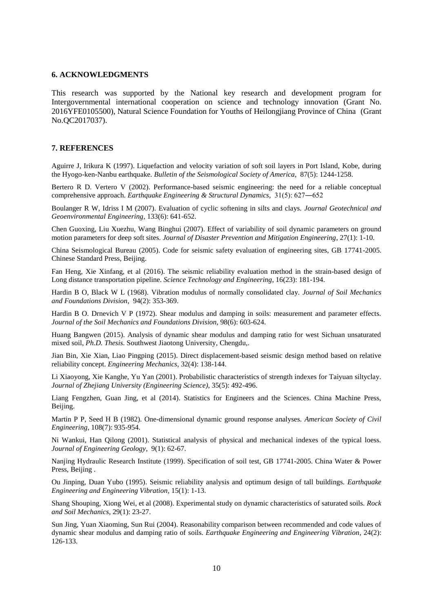#### **6. ACKNOWLEDGMENTS**

This research was supported by the National key research and development program for Intergovernmental international cooperation on science and technology innovation (Grant No. 2016YFE0105500), Natural Science Foundation for Youths of Heilongjiang Province of China (Grant No.QC2017037).

#### **7. REFERENCES**

Aguirre J, Irikura K (1997). Liquefaction and velocity variation of soft soil layers in Port Island, Kobe, during the Hyogo-ken-Nanbu earthquake. *Bulletin of the Seismological Society of America*, 87(5): 1244-1258.

Bertero R D. Vertero V (2002). Performance-based seismic engineering: the need for a reliable conceptual comprehensive approach. *Earthquake Engineering & Structural Dynamics*, 31(5): 627―652

Boulanger R W, Idriss I M (2007). Evaluation of cyclic softening in silts and clays. *Journal Geotechnical and Geoenvironmental Engineering*, 133(6): 641-652.

Chen Guoxing, Liu Xuezhu, Wang Binghui (2007). Effect of variability of soil dynamic parameters on ground motion parameters for deep soft sites. *Journal of Disaster Prevention and Mitigation Engineering*, 27(1): 1-10.

China Seismological Bureau (2005). Code for seismic safety evaluation of engineering sites, GB 17741-2005. Chinese Standard Press, Beijing.

Fan Heng, Xie Xinfang, et al (2016). The seismic reliability evaluation method in the strain-based design of Long distance transportation pipeline. *Science Technology and Engineering*, 16(23): 181-194.

Hardin B O, Black W L (1968). Vibration modulus of normally consolidated clay. *Journal of Soil Mechanics and Foundations Division*, 94(2): 353-369.

Hardin B O. Drnevich V P (1972). Shear modulus and damping in soils: measurement and parameter effects. *Journal of the Soil Mechanics and Foundations Division*, 98(6): 603-624.

Huang Bangwen (2015). Analysis of dynamic shear modulus and damping ratio for west Sichuan unsaturated mixed soil, *Ph.D. Thesis*. Southwest Jiaotong University, Chengdu,.

Jian Bin, Xie Xian, Liao Pingping (2015). Direct displacement-based seismic design method based on relative reliability concept. *Engineering Mechanics*, 32(4): 138-144.

Li Xiaoyong, Xie Kanghe, Yu Yan (2001). Probabilistic characteristics of strength indexes for Taiyuan siltyclay. *Journal of Zhejiang University (Engineering Science)*, 35(5): 492-496.

Liang Fengzhen, Guan Jing, et al (2014). Statistics for Engineers and the Sciences. China Machine Press, Beijing.

Martin P P, Seed H B (1982). One-dimensional dynamic ground response analyses. *American Society of Civil Engineering*, 108(7): 935-954.

Ni Wankui, Han Qilong (2001). Statistical analysis of physical and mechanical indexes of the typical loess. *Journal of Engineering Geology*, 9(1): 62-67.

Nanjing Hydraulic Research Institute (1999). Specification of soil test, GB 17741-2005. China Water & Power Press, Beijing .

Ou Jinping, Duan Yubo (1995). Seismic reliability analysis and optimum design of tall buildings. *Earthquake Engineering and Engineering Vibration,* 15(1): 1-13.

Shang Shouping, Xiong Wei, et al (2008). Experimental study on dynamic characteristics of saturated soils. *Rock and Soil Mechanics*, 29(1): 23-27.

Sun Jing, Yuan Xiaoming, Sun Rui (2004). Reasonability comparison between recommended and code values of dynamic shear modulus and damping ratio of soils. *Earthquake Engineering and Engineering Vibration*, 24(2): 126-133.